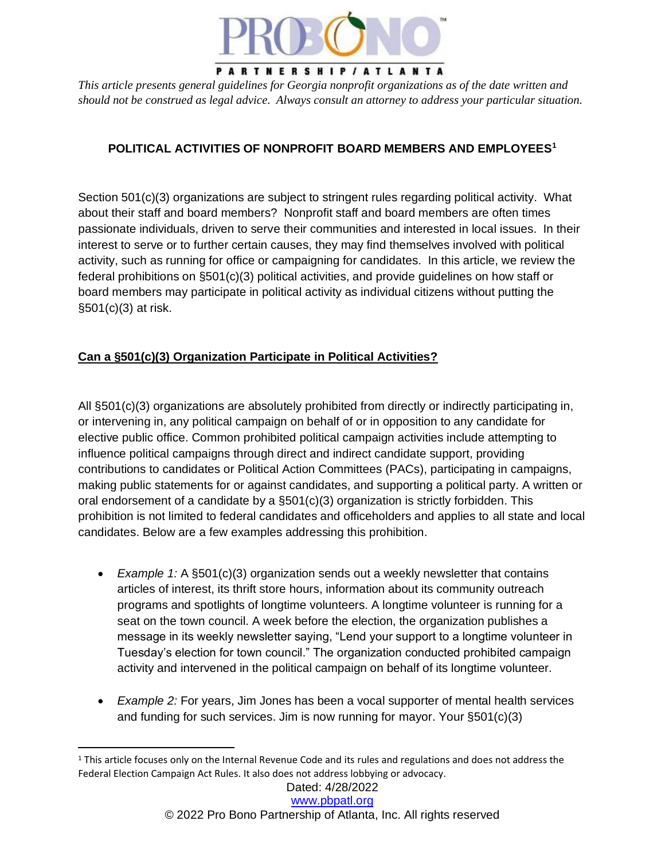

*This article presents general guidelines for Georgia nonprofit organizations as of the date written and should not be construed as legal advice. Always consult an attorney to address your particular situation.*

## **POLITICAL ACTIVITIES OF NONPROFIT BOARD MEMBERS AND EMPLOYEES<sup>1</sup>**

Section 501(c)(3) organizations are subject to stringent rules regarding political activity. What about their staff and board members? Nonprofit staff and board members are often times passionate individuals, driven to serve their communities and interested in local issues. In their interest to serve or to further certain causes, they may find themselves involved with political activity, such as running for office or campaigning for candidates. In this article, we review the federal prohibitions on §501(c)(3) political activities, and provide guidelines on how staff or board members may participate in political activity as individual citizens without putting the §501(c)(3) at risk.

### **Can a §501(c)(3) Organization Participate in Political Activities?**

All §501(c)(3) organizations are absolutely prohibited from directly or indirectly participating in, or intervening in, any political campaign on behalf of or in opposition to any candidate for elective public office. Common prohibited political campaign activities include attempting to influence political campaigns through direct and indirect candidate support, providing contributions to candidates or Political Action Committees (PACs), participating in campaigns, making public statements for or against candidates, and supporting a political party. A written or oral endorsement of a candidate by a §501(c)(3) organization is strictly forbidden. This prohibition is not limited to federal candidates and officeholders and applies to all state and local candidates. Below are a few examples addressing this prohibition.

- *Example 1:* A §501(c)(3) organization sends out a weekly newsletter that contains articles of interest, its thrift store hours, information about its community outreach programs and spotlights of longtime volunteers. A longtime volunteer is running for a seat on the town council. A week before the election, the organization publishes a message in its weekly newsletter saying, "Lend your support to a longtime volunteer in Tuesday's election for town council." The organization conducted prohibited campaign activity and intervened in the political campaign on behalf of its longtime volunteer.
- *Example 2:* For years, Jim Jones has been a vocal supporter of mental health services and funding for such services. Jim is now running for mayor. Your §501(c)(3)

<sup>&</sup>lt;sup>1</sup> This article focuses only on the Internal Revenue Code and its rules and regulations and does not address the Federal Election Campaign Act Rules. It also does not address lobbying or advocacy.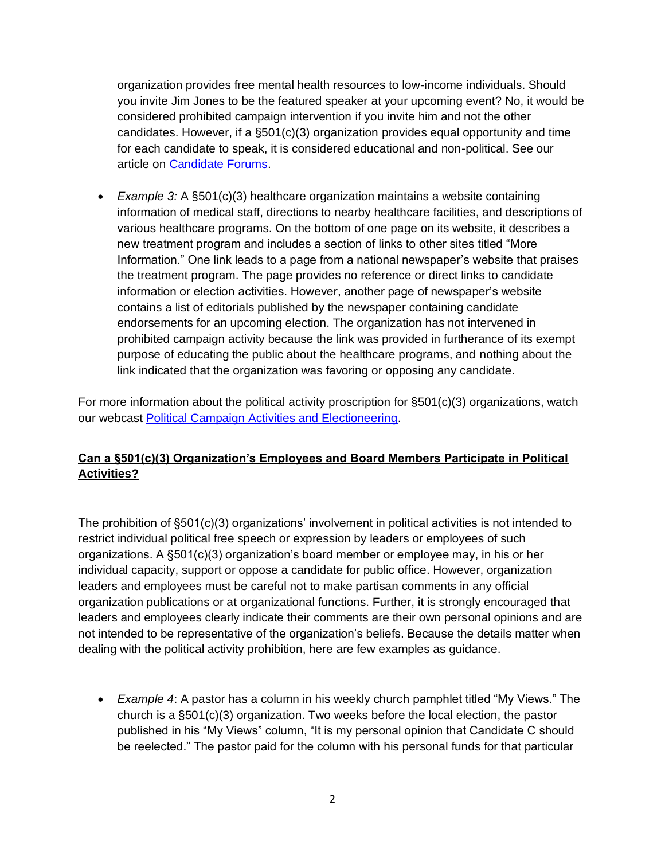organization provides free mental health resources to low-income individuals. Should you invite Jim Jones to be the featured speaker at your upcoming event? No, it would be considered prohibited campaign intervention if you invite him and not the other candidates. However, if a §501(c)(3) organization provides equal opportunity and time for each candidate to speak, it is considered educational and non-political. See our article on [Candidate Forums.](https://pbpatl.org/candidate-forums/)

• *Example 3:* A §501(c)(3) healthcare organization maintains a website containing information of medical staff, directions to nearby healthcare facilities, and descriptions of various healthcare programs. On the bottom of one page on its website, it describes a new treatment program and includes a section of links to other sites titled "More Information." One link leads to a page from a national newspaper's website that praises the treatment program. The page provides no reference or direct links to candidate information or election activities. However, another page of newspaper's website contains a list of editorials published by the newspaper containing candidate endorsements for an upcoming election. The organization has not intervened in prohibited campaign activity because the link was provided in furtherance of its exempt purpose of educating the public about the healthcare programs, and nothing about the link indicated that the organization was favoring or opposing any candidate.

For more information about the political activity proscription for  $\S501(c)(3)$  organizations, watch our webcast [Political Campaign Activities and Electioneering.](https://pbpatl.org/political-campaign-activities-and-electioneering-what-can-your-nonprofit-do-for-this-2020-election-year/)

# **Can a §501(c)(3) Organization's Employees and Board Members Participate in Political Activities?**

The prohibition of §501(c)(3) organizations' involvement in political activities is not intended to restrict individual political free speech or expression by leaders or employees of such organizations. A §501(c)(3) organization's board member or employee may, in his or her individual capacity, support or oppose a candidate for public office. However, organization leaders and employees must be careful not to make partisan comments in any official organization publications or at organizational functions. Further, it is strongly encouraged that leaders and employees clearly indicate their comments are their own personal opinions and are not intended to be representative of the organization's beliefs. Because the details matter when dealing with the political activity prohibition, here are few examples as guidance.

• *Example 4*: A pastor has a column in his weekly church pamphlet titled "My Views." The church is a §501(c)(3) organization. Two weeks before the local election, the pastor published in his "My Views" column, "It is my personal opinion that Candidate C should be reelected." The pastor paid for the column with his personal funds for that particular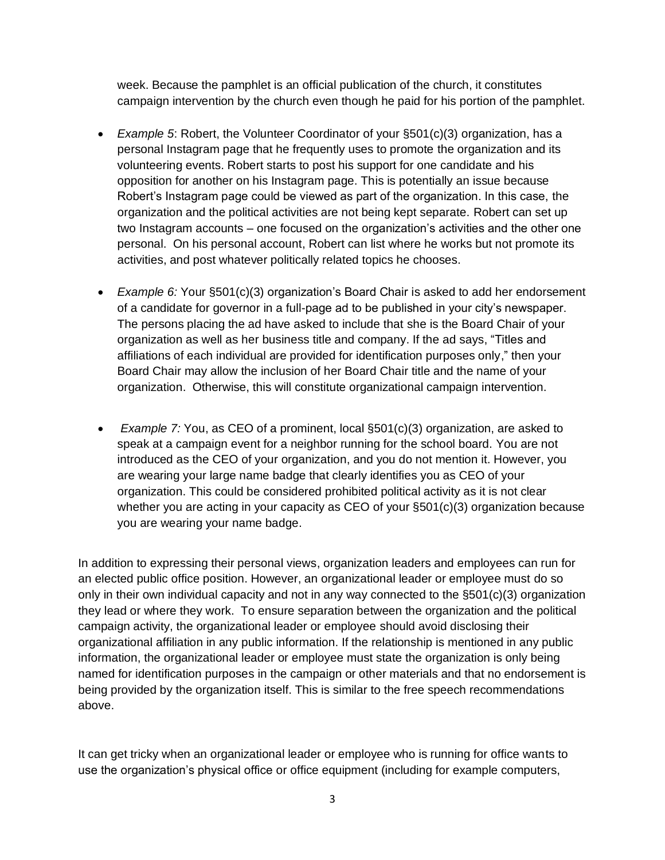week. Because the pamphlet is an official publication of the church, it constitutes campaign intervention by the church even though he paid for his portion of the pamphlet.

- *Example 5*: Robert, the Volunteer Coordinator of your §501(c)(3) organization, has a personal Instagram page that he frequently uses to promote the organization and its volunteering events. Robert starts to post his support for one candidate and his opposition for another on his Instagram page. This is potentially an issue because Robert's Instagram page could be viewed as part of the organization. In this case, the organization and the political activities are not being kept separate. Robert can set up two Instagram accounts – one focused on the organization's activities and the other one personal. On his personal account, Robert can list where he works but not promote its activities, and post whatever politically related topics he chooses.
- *Example 6:* Your §501(c)(3) organization's Board Chair is asked to add her endorsement of a candidate for governor in a full-page ad to be published in your city's newspaper. The persons placing the ad have asked to include that she is the Board Chair of your organization as well as her business title and company. If the ad says, "Titles and affiliations of each individual are provided for identification purposes only," then your Board Chair may allow the inclusion of her Board Chair title and the name of your organization. Otherwise, this will constitute organizational campaign intervention.
- *Example 7:* You, as CEO of a prominent, local §501(c)(3) organization, are asked to speak at a campaign event for a neighbor running for the school board. You are not introduced as the CEO of your organization, and you do not mention it. However, you are wearing your large name badge that clearly identifies you as CEO of your organization. This could be considered prohibited political activity as it is not clear whether you are acting in your capacity as CEO of your §501(c)(3) organization because you are wearing your name badge.

In addition to expressing their personal views, organization leaders and employees can run for an elected public office position. However, an organizational leader or employee must do so only in their own individual capacity and not in any way connected to the  $\S501(c)(3)$  organization they lead or where they work. To ensure separation between the organization and the political campaign activity, the organizational leader or employee should avoid disclosing their organizational affiliation in any public information. If the relationship is mentioned in any public information, the organizational leader or employee must state the organization is only being named for identification purposes in the campaign or other materials and that no endorsement is being provided by the organization itself. This is similar to the free speech recommendations above.

It can get tricky when an organizational leader or employee who is running for office wants to use the organization's physical office or office equipment (including for example computers,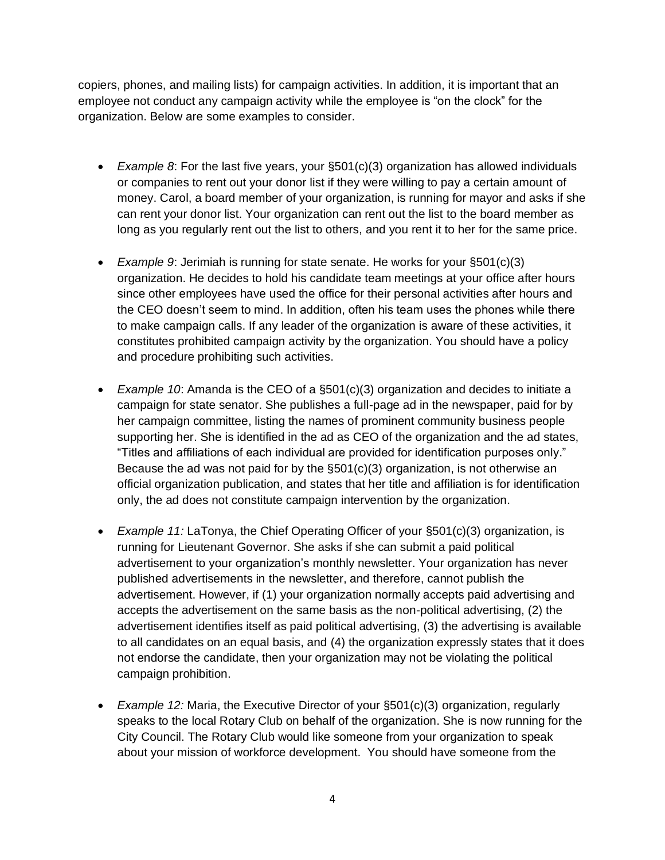copiers, phones, and mailing lists) for campaign activities. In addition, it is important that an employee not conduct any campaign activity while the employee is "on the clock" for the organization. Below are some examples to consider.

- *Example 8*: For the last five years, your §501(c)(3) organization has allowed individuals or companies to rent out your donor list if they were willing to pay a certain amount of money. Carol, a board member of your organization, is running for mayor and asks if she can rent your donor list. Your organization can rent out the list to the board member as long as you regularly rent out the list to others, and you rent it to her for the same price.
- *Example 9*: Jerimiah is running for state senate. He works for your §501(c)(3) organization. He decides to hold his candidate team meetings at your office after hours since other employees have used the office for their personal activities after hours and the CEO doesn't seem to mind. In addition, often his team uses the phones while there to make campaign calls. If any leader of the organization is aware of these activities, it constitutes prohibited campaign activity by the organization. You should have a policy and procedure prohibiting such activities.
- *Example 10*: Amanda is the CEO of a §501(c)(3) organization and decides to initiate a campaign for state senator. She publishes a full-page ad in the newspaper, paid for by her campaign committee, listing the names of prominent community business people supporting her. She is identified in the ad as CEO of the organization and the ad states, "Titles and affiliations of each individual are provided for identification purposes only." Because the ad was not paid for by the  $\S501(c)(3)$  organization, is not otherwise an official organization publication, and states that her title and affiliation is for identification only, the ad does not constitute campaign intervention by the organization.
- *Example 11:* LaTonya, the Chief Operating Officer of your §501(c)(3) organization, is running for Lieutenant Governor. She asks if she can submit a paid political advertisement to your organization's monthly newsletter. Your organization has never published advertisements in the newsletter, and therefore, cannot publish the advertisement. However, if (1) your organization normally accepts paid advertising and accepts the advertisement on the same basis as the non-political advertising, (2) the advertisement identifies itself as paid political advertising, (3) the advertising is available to all candidates on an equal basis, and (4) the organization expressly states that it does not endorse the candidate, then your organization may not be violating the political campaign prohibition.
- *Example 12:* Maria, the Executive Director of your §501(c)(3) organization, regularly speaks to the local Rotary Club on behalf of the organization. She is now running for the City Council. The Rotary Club would like someone from your organization to speak about your mission of workforce development. You should have someone from the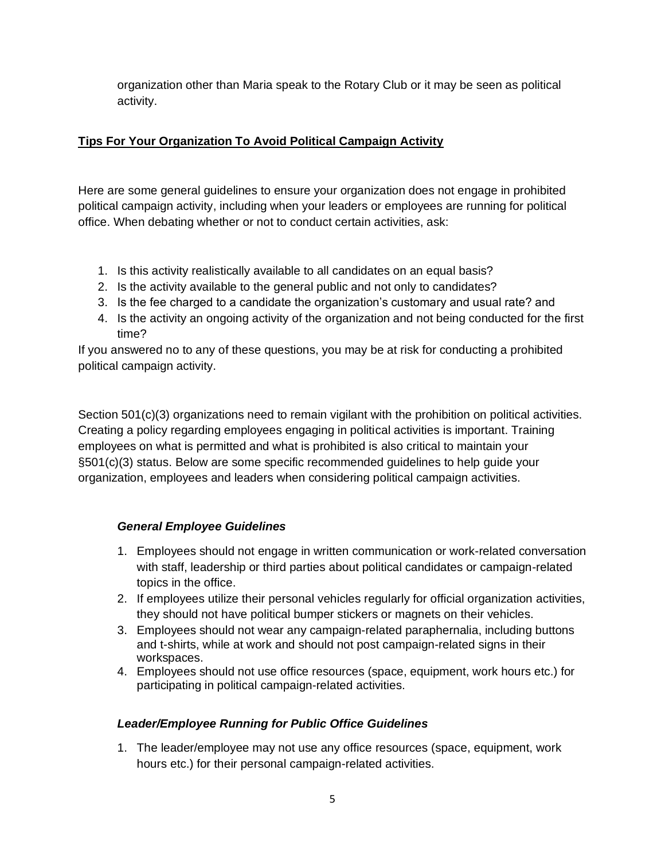organization other than Maria speak to the Rotary Club or it may be seen as political activity.

### **Tips For Your Organization To Avoid Political Campaign Activity**

Here are some general guidelines to ensure your organization does not engage in prohibited political campaign activity, including when your leaders or employees are running for political office. When debating whether or not to conduct certain activities, ask:

- 1. Is this activity realistically available to all candidates on an equal basis?
- 2. Is the activity available to the general public and not only to candidates?
- 3. Is the fee charged to a candidate the organization's customary and usual rate? and
- 4. Is the activity an ongoing activity of the organization and not being conducted for the first time?

If you answered no to any of these questions, you may be at risk for conducting a prohibited political campaign activity.

Section 501(c)(3) organizations need to remain vigilant with the prohibition on political activities. Creating a policy regarding employees engaging in political activities is important. Training employees on what is permitted and what is prohibited is also critical to maintain your §501(c)(3) status. Below are some specific recommended guidelines to help guide your organization, employees and leaders when considering political campaign activities.

#### *General Employee Guidelines*

- 1. Employees should not engage in written communication or work-related conversation with staff, leadership or third parties about political candidates or campaign-related topics in the office.
- 2. If employees utilize their personal vehicles regularly for official organization activities, they should not have political bumper stickers or magnets on their vehicles.
- 3. Employees should not wear any campaign-related paraphernalia, including buttons and t-shirts, while at work and should not post campaign-related signs in their workspaces.
- 4. Employees should not use office resources (space, equipment, work hours etc.) for participating in political campaign-related activities.

#### *Leader/Employee Running for Public Office Guidelines*

1. The leader/employee may not use any office resources (space, equipment, work hours etc.) for their personal campaign-related activities.